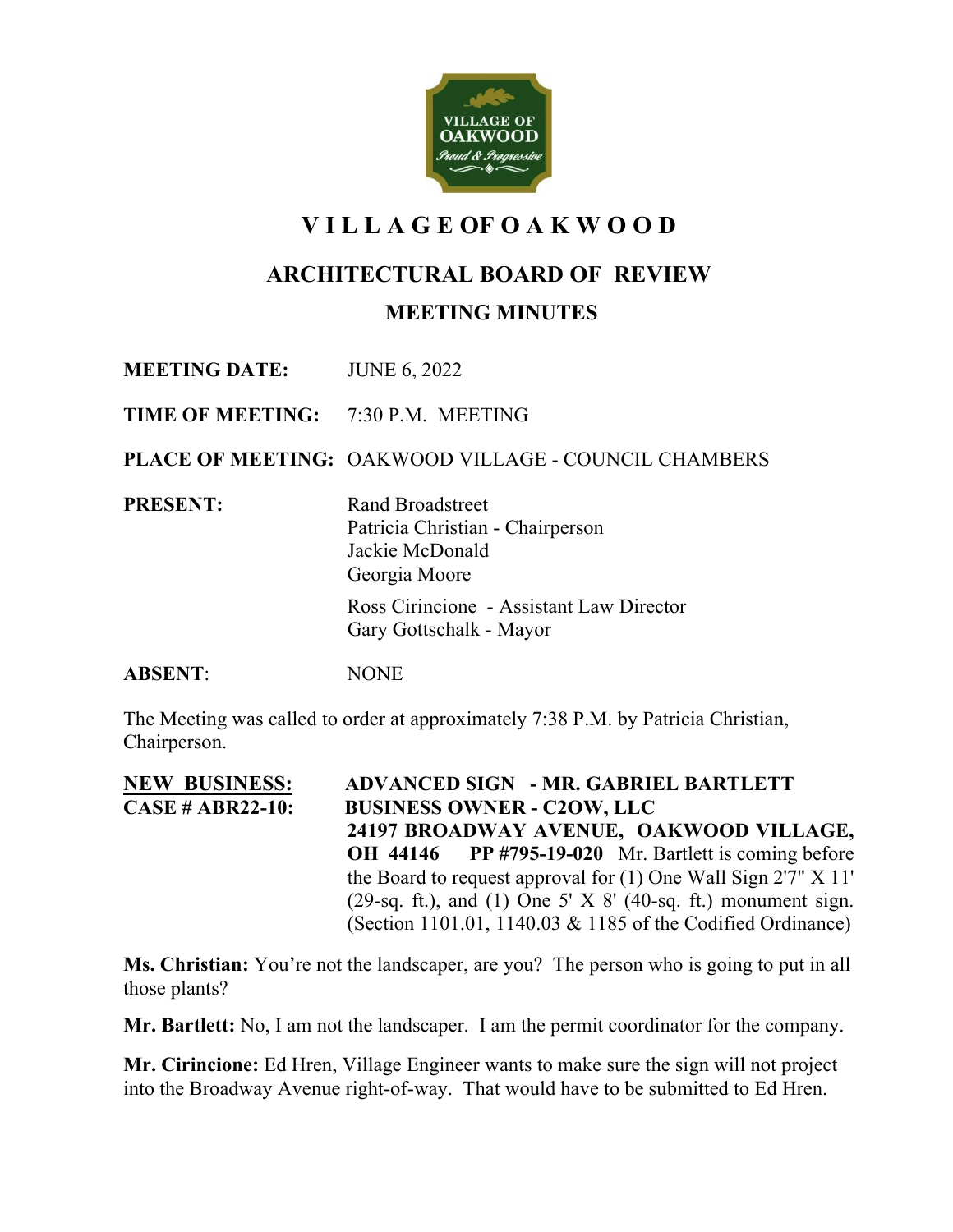

# **V I L L A G E OF O A K W O O D**

## **ARCHITECTURAL BOARD OF REVIEW**

**MEETING MINUTES**

**MEETING DATE:** JUNE 6, 2022

**TIME OF MEETING:** 7:30 P.M. MEETING

**PLACE OF MEETING:** OAKWOOD VILLAGE - COUNCIL CHAMBERS

**PRESENT:** Rand Broadstreet Patricia Christian - Chairperson Jackie McDonald Georgia Moore

> Ross Cirincione - Assistant Law Director Gary Gottschalk - Mayor

**ABSENT**: NONE

The Meeting was called to order at approximately 7:38 P.M. by Patricia Christian, Chairperson.

**NEW BUSINESS:****ADVANCED SIGN - MR. GABRIEL BARTLETT CASE # ABR22-10: BUSINESS OWNER - C2OW, LLC 24197 BROADWAY AVENUE, OAKWOOD VILLAGE, OH 44146 PP #795-19-020** Mr. Bartlett is coming before the Board to request approval for (1) One Wall Sign 2'7" X 11' (29-sq. ft.), and (1) One 5' X  $8'$  (40-sq. ft.) monument sign. (Section 1101.01, 1140.03 & 1185 of the Codified Ordinance)

**Ms. Christian:** You're not the landscaper, are you? The person who is going to put in all those plants?

**Mr. Bartlett:** No, I am not the landscaper. I am the permit coordinator for the company.

**Mr. Cirincione:** Ed Hren, Village Engineer wants to make sure the sign will not project into the Broadway Avenue right-of-way. That would have to be submitted to Ed Hren.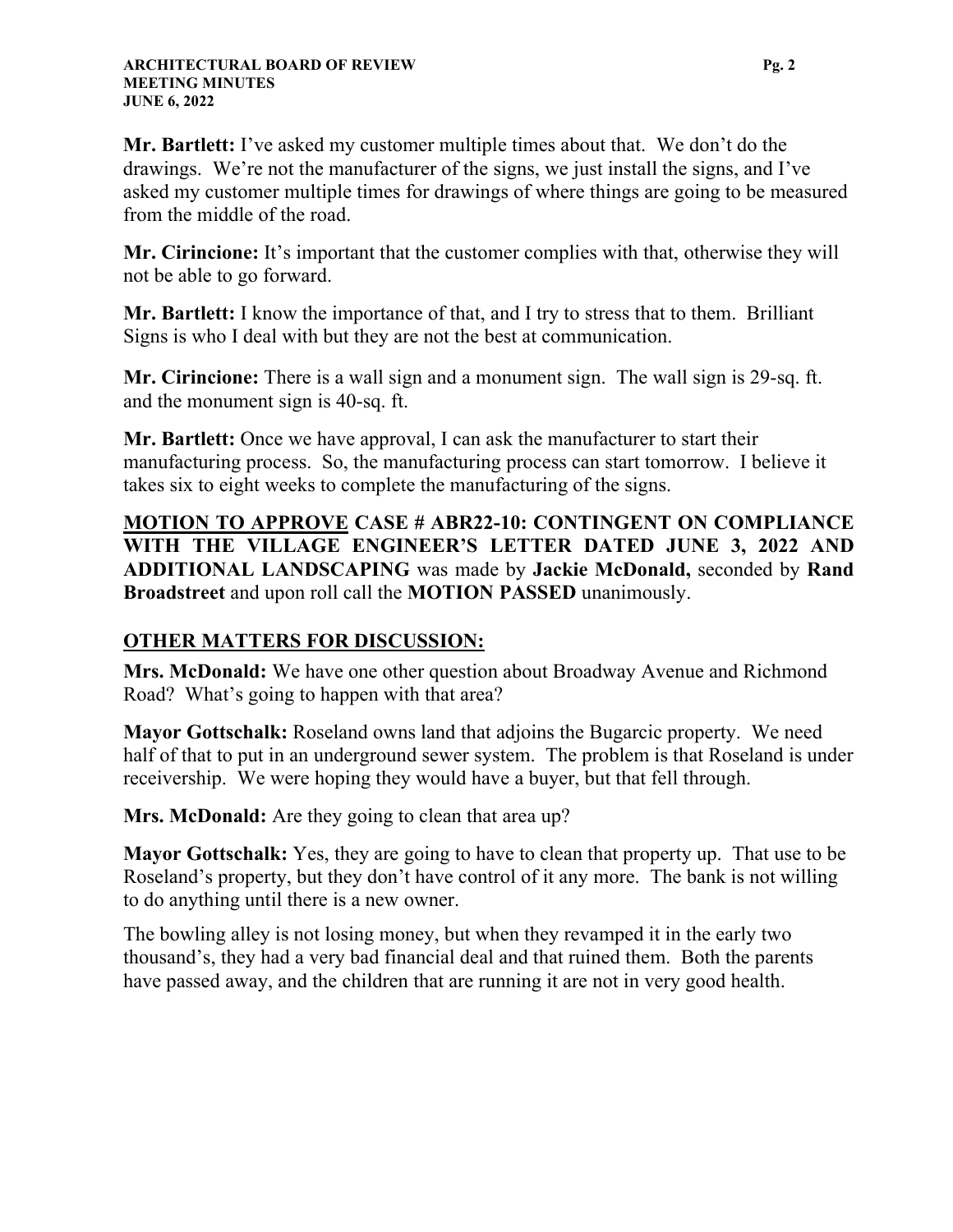**Mr. Bartlett:** I've asked my customer multiple times about that. We don't do the drawings. We're not the manufacturer of the signs, we just install the signs, and I've asked my customer multiple times for drawings of where things are going to be measured from the middle of the road.

**Mr. Cirincione:** It's important that the customer complies with that, otherwise they will not be able to go forward.

**Mr. Bartlett:** I know the importance of that, and I try to stress that to them. Brilliant Signs is who I deal with but they are not the best at communication.

**Mr. Cirincione:** There is a wall sign and a monument sign. The wall sign is 29-sq. ft. and the monument sign is 40-sq. ft.

**Mr. Bartlett:** Once we have approval, I can ask the manufacturer to start their manufacturing process. So, the manufacturing process can start tomorrow. I believe it takes six to eight weeks to complete the manufacturing of the signs.

**MOTION TO APPROVE CASE # ABR22-10: CONTINGENT ON COMPLIANCE WITH THE VILLAGE ENGINEER'S LETTER DATED JUNE 3, 2022 AND ADDITIONAL LANDSCAPING** was made by **Jackie McDonald,** seconded by **Rand Broadstreet** and upon roll call the **MOTION PASSED** unanimously.

### **OTHER MATTERS FOR DISCUSSION:**

**Mrs. McDonald:** We have one other question about Broadway Avenue and Richmond Road? What's going to happen with that area?

**Mayor Gottschalk:** Roseland owns land that adjoins the Bugarcic property. We need half of that to put in an underground sewer system. The problem is that Roseland is under receivership. We were hoping they would have a buyer, but that fell through.

**Mrs. McDonald:** Are they going to clean that area up?

**Mayor Gottschalk:** Yes, they are going to have to clean that property up. That use to be Roseland's property, but they don't have control of it any more. The bank is not willing to do anything until there is a new owner.

The bowling alley is not losing money, but when they revamped it in the early two thousand's, they had a very bad financial deal and that ruined them. Both the parents have passed away, and the children that are running it are not in very good health.